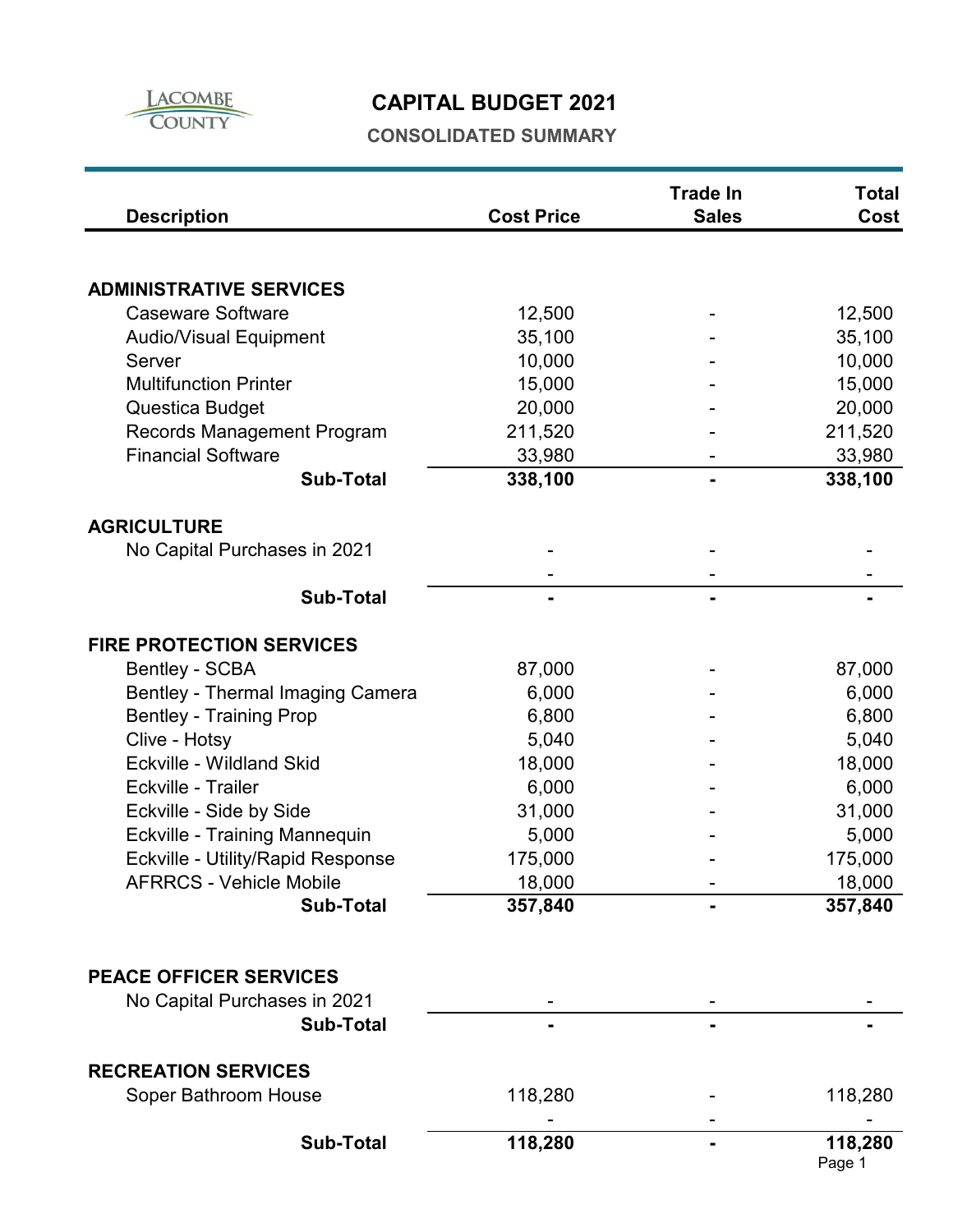

# **CAPITAL BUDGET 2021**

### **CONSOLIDATED SUMMARY**

| <b>Description</b>                | <b>Cost Price</b> | <b>Trade In</b><br><b>Sales</b> | <b>Total</b><br>Cost |
|-----------------------------------|-------------------|---------------------------------|----------------------|
|                                   |                   |                                 |                      |
| <b>ADMINISTRATIVE SERVICES</b>    |                   |                                 |                      |
| <b>Caseware Software</b>          | 12,500            |                                 | 12,500               |
| <b>Audio/Visual Equipment</b>     | 35,100            |                                 | 35,100               |
| Server                            | 10,000            |                                 | 10,000               |
| <b>Multifunction Printer</b>      | 15,000            |                                 | 15,000               |
| Questica Budget                   | 20,000            |                                 | 20,000               |
| <b>Records Management Program</b> | 211,520           |                                 | 211,520              |
| <b>Financial Software</b>         | 33,980            |                                 | 33,980               |
| <b>Sub-Total</b>                  | 338,100           |                                 | 338,100              |
| <b>AGRICULTURE</b>                |                   |                                 |                      |
| No Capital Purchases in 2021      |                   |                                 |                      |
|                                   |                   |                                 |                      |
| <b>Sub-Total</b>                  |                   |                                 |                      |
|                                   |                   |                                 |                      |
| <b>FIRE PROTECTION SERVICES</b>   |                   |                                 |                      |
| <b>Bentley - SCBA</b>             | 87,000            |                                 | 87,000               |
| Bentley - Thermal Imaging Camera  | 6,000             |                                 | 6,000                |
| <b>Bentley - Training Prop</b>    | 6,800             |                                 | 6,800                |
| Clive - Hotsy                     | 5,040             |                                 | 5,040                |
| Eckville - Wildland Skid          | 18,000            |                                 | 18,000               |
| Eckville - Trailer                | 6,000             |                                 | 6,000                |
| Eckville - Side by Side           | 31,000            |                                 | 31,000               |
| Eckville - Training Mannequin     | 5,000             |                                 | 5,000                |
| Eckville - Utility/Rapid Response | 175,000           |                                 | 175,000              |
| <b>AFRRCS - Vehicle Mobile</b>    | 18,000            |                                 | 18,000               |
| <b>Sub-Total</b>                  | 357,840           |                                 | 357,840              |
|                                   |                   |                                 |                      |
| <b>PEACE OFFICER SERVICES</b>     |                   |                                 |                      |
| No Capital Purchases in 2021      |                   |                                 |                      |
| <b>Sub-Total</b>                  |                   |                                 |                      |
|                                   |                   |                                 |                      |
| <b>RECREATION SERVICES</b>        |                   |                                 |                      |
| Soper Bathroom House              | 118,280           |                                 | 118,280              |
| <b>Sub-Total</b>                  | 118,280           |                                 | 118,280              |
|                                   |                   |                                 | Page 1               |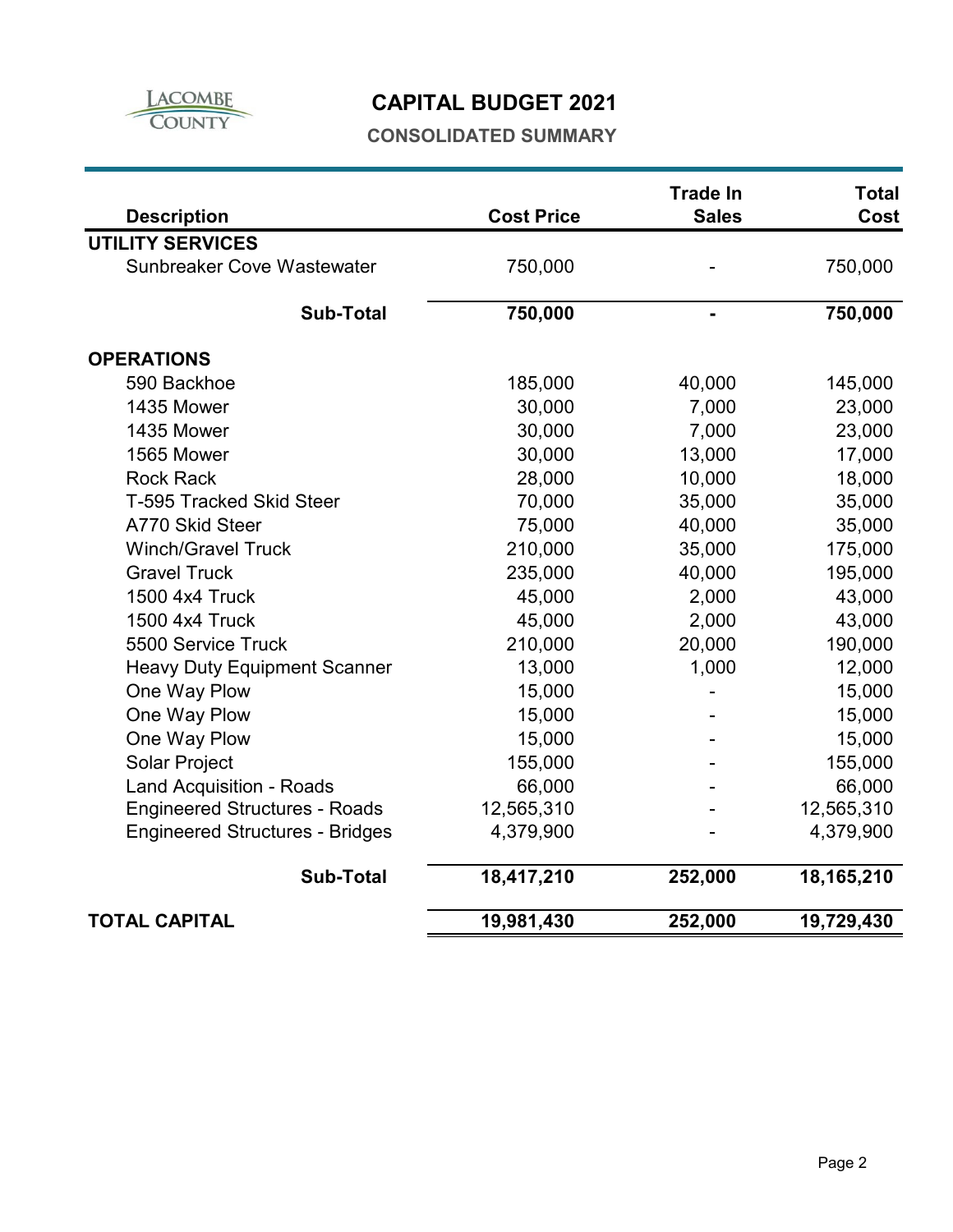

### **CAPITAL BUDGET 2021**

#### **CONSOLIDATED SUMMARY**

| <b>Description</b>                     | <b>Cost Price</b> | <b>Trade In</b><br><b>Sales</b> | <b>Total</b><br>Cost |
|----------------------------------------|-------------------|---------------------------------|----------------------|
| <b>UTILITY SERVICES</b>                |                   |                                 |                      |
| <b>Sunbreaker Cove Wastewater</b>      | 750,000           |                                 | 750,000              |
| <b>Sub-Total</b>                       | 750,000           |                                 | 750,000              |
| <b>OPERATIONS</b>                      |                   |                                 |                      |
| 590 Backhoe                            | 185,000           | 40,000                          | 145,000              |
| 1435 Mower                             | 30,000            | 7,000                           | 23,000               |
| 1435 Mower                             | 30,000            | 7,000                           | 23,000               |
| 1565 Mower                             | 30,000            | 13,000                          | 17,000               |
| <b>Rock Rack</b>                       | 28,000            | 10,000                          | 18,000               |
| <b>T-595 Tracked Skid Steer</b>        | 70,000            | 35,000                          | 35,000               |
| A770 Skid Steer                        | 75,000            | 40,000                          | 35,000               |
| <b>Winch/Gravel Truck</b>              | 210,000           | 35,000                          | 175,000              |
| <b>Gravel Truck</b>                    | 235,000           | 40,000                          | 195,000              |
| 1500 4x4 Truck                         | 45,000            | 2,000                           | 43,000               |
| 1500 4x4 Truck                         | 45,000            | 2,000                           | 43,000               |
| 5500 Service Truck                     | 210,000           | 20,000                          | 190,000              |
| <b>Heavy Duty Equipment Scanner</b>    | 13,000            | 1,000                           | 12,000               |
| One Way Plow                           | 15,000            |                                 | 15,000               |
| One Way Plow                           | 15,000            |                                 | 15,000               |
| One Way Plow                           | 15,000            |                                 | 15,000               |
| <b>Solar Project</b>                   | 155,000           |                                 | 155,000              |
| <b>Land Acquisition - Roads</b>        | 66,000            |                                 | 66,000               |
| <b>Engineered Structures - Roads</b>   | 12,565,310        |                                 | 12,565,310           |
| <b>Engineered Structures - Bridges</b> | 4,379,900         |                                 | 4,379,900            |
| <b>Sub-Total</b>                       | 18,417,210        | 252,000                         | 18,165,210           |
| <b>TOTAL CAPITAL</b>                   | 19,981,430        | 252,000                         | 19,729,430           |